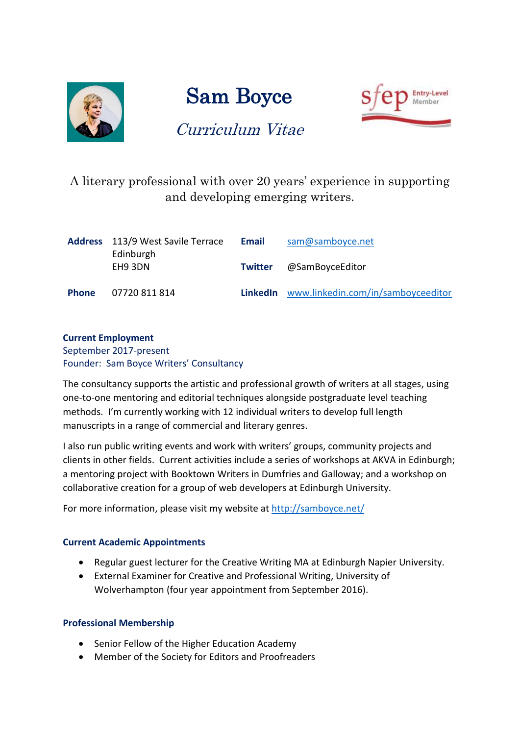

# Sam Boyce



## Curriculum Vitae

A literary professional with over 20 years' experience in supporting and developing emerging writers.

|              | <b>Address</b> 113/9 West Savile Terrace<br>Edinburgh | Email           | sam@samboyce.net                   |
|--------------|-------------------------------------------------------|-----------------|------------------------------------|
|              | EH9 3DN                                               | <b>Twitter</b>  | @SamBoyceEditor                    |
| <b>Phone</b> | 07720 811 814                                         | <b>LinkedIn</b> | www.linkedin.com/in/samboyceeditor |

## **Current Employment**

September 2017-present Founder: Sam Boyce Writers' Consultancy

The consultancy supports the artistic and professional growth of writers at all stages, using one-to-one mentoring and editorial techniques alongside postgraduate level teaching methods. I'm currently working with 12 individual writers to develop full length manuscripts in a range of commercial and literary genres.

I also run public writing events and work with writers' groups, community projects and clients in other fields. Current activities include a series of workshops at AKVA in Edinburgh; a mentoring project with Booktown Writers in Dumfries and Galloway; and a workshop on collaborative creation for a group of web developers at Edinburgh University.

For more information, please visit my website at<http://samboyce.net/>

### **Current Academic Appointments**

- Regular guest lecturer for the Creative Writing MA at Edinburgh Napier University.
- External Examiner for Creative and Professional Writing, University of Wolverhampton (four year appointment from September 2016).

### **Professional Membership**

- Senior Fellow of the Higher Education Academy
- Member of the Society for Editors and Proofreaders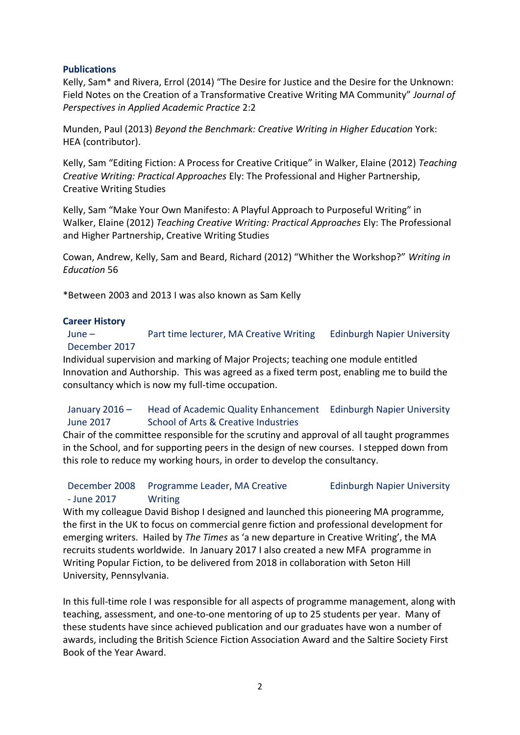### **Publications**

Kelly, Sam\* and Rivera, Errol (2014) "The Desire for Justice and the Desire for the Unknown: Field Notes on the Creation of a Transformative Creative Writing MA Community" *Journal of Perspectives in Applied Academic Practice* 2:2

Munden, Paul (2013) *Beyond the Benchmark: Creative Writing in Higher Education* York: HEA (contributor).

Kelly, Sam "Editing Fiction: A Process for Creative Critique" in Walker, Elaine (2012) *Teaching Creative Writing: Practical Approaches* Ely: The Professional and Higher Partnership, Creative Writing Studies

Kelly, Sam "Make Your Own Manifesto: A Playful Approach to Purposeful Writing" in Walker, Elaine (2012) *Teaching Creative Writing: Practical Approaches* Ely: The Professional and Higher Partnership, Creative Writing Studies

Cowan, Andrew, Kelly, Sam and Beard, Richard (2012) "Whither the Workshop?" *Writing in Education* 56

\*Between 2003 and 2013 I was also known as Sam Kelly

### **Career History**

June – December 2017 Part time lecturer, MA Creative Writing Edinburgh Napier University

Individual supervision and marking of Major Projects; teaching one module entitled Innovation and Authorship. This was agreed as a fixed term post, enabling me to build the consultancy which is now my full-time occupation.

### January 2016 – June 2017 Head of Academic Quality Enhancement Edinburgh Napier University School of Arts & Creative Industries

Chair of the committee responsible for the scrutiny and approval of all taught programmes in the School, and for supporting peers in the design of new courses. I stepped down from this role to reduce my working hours, in order to develop the consultancy.

### December 2008 - June 2017 Programme Leader, MA Creative **Writing** Edinburgh Napier University

With my colleague David Bishop I designed and launched this pioneering MA programme, the first in the UK to focus on commercial genre fiction and professional development for emerging writers. Hailed by *The Times* as 'a new departure in Creative Writing', the MA recruits students worldwide. In January 2017 I also created a new MFA programme in Writing Popular Fiction, to be delivered from 2018 in collaboration with Seton Hill University, Pennsylvania.

In this full-time role I was responsible for all aspects of programme management, along with teaching, assessment, and one-to-one mentoring of up to 25 students per year. Many of these students have since achieved publication and our graduates have won a number of awards, including the British Science Fiction Association Award and the Saltire Society First Book of the Year Award.